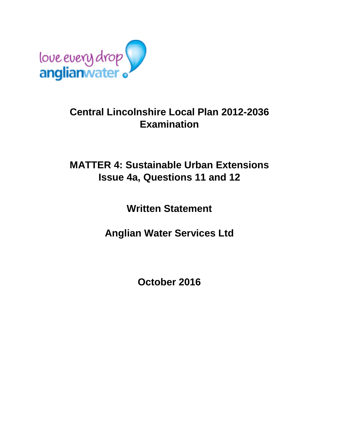

## **Central Lincolnshire Local Plan 2012-2036 Examination**

## **MATTER 4: Sustainable Urban Extensions Issue 4a, Questions 11 and 12**

**Written Statement**

**Anglian Water Services Ltd**

**October 2016**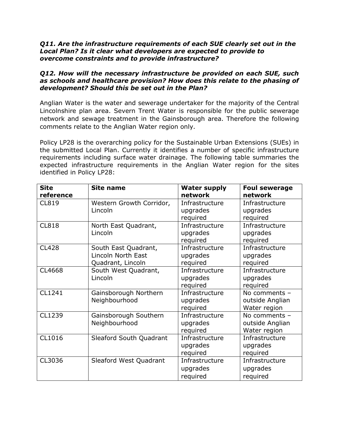## *Q11. Are the infrastructure requirements of each SUE clearly set out in the Local Plan? Is it clear what developers are expected to provide to overcome constraints and to provide infrastructure?*

## *Q12. How will the necessary infrastructure be provided on each SUE, such as schools and healthcare provision? How does this relate to the phasing of development? Should this be set out in the Plan?*

Anglian Water is the water and sewerage undertaker for the majority of the Central Lincolnshire plan area. Severn Trent Water is responsible for the public sewerage network and sewage treatment in the Gainsborough area. Therefore the following comments relate to the Anglian Water region only.

Policy LP28 is the overarching policy for the Sustainable Urban Extensions (SUEs) in the submitted Local Plan. Currently it identifies a number of specific infrastructure requirements including surface water drainage. The following table summaries the expected infrastructure requirements in the Anglian Water region for the sites identified in Policy LP28:

| <b>Site</b><br>reference | <b>Site name</b>                                                | <b>Water supply</b><br>network         | <b>Foul sewerage</b><br>network                  |
|--------------------------|-----------------------------------------------------------------|----------------------------------------|--------------------------------------------------|
| <b>CL819</b>             | Western Growth Corridor,<br>Lincoln                             | Infrastructure<br>upgrades<br>required | Infrastructure<br>upgrades<br>required           |
| <b>CL818</b>             | North East Quadrant,<br>Lincoln                                 | Infrastructure<br>upgrades<br>required | Infrastructure<br>upgrades<br>required           |
| <b>CL428</b>             | South East Quadrant,<br>Lincoln North East<br>Quadrant, Lincoln | Infrastructure<br>upgrades<br>required | Infrastructure<br>upgrades<br>required           |
| CL4668                   | South West Quadrant,<br>Lincoln                                 | Infrastructure<br>upgrades<br>required | Infrastructure<br>upgrades<br>required           |
| CL1241                   | Gainsborough Northern<br>Neighbourhood                          | Infrastructure<br>upgrades<br>required | No comments -<br>outside Anglian<br>Water region |
| CL1239                   | Gainsborough Southern<br>Neighbourhood                          | Infrastructure<br>upgrades<br>required | No comments -<br>outside Anglian<br>Water region |
| CL1016                   | Sleaford South Quadrant                                         | Infrastructure<br>upgrades<br>required | Infrastructure<br>upgrades<br>required           |
| CL3036                   | Sleaford West Quadrant                                          | Infrastructure<br>upgrades<br>required | Infrastructure<br>upgrades<br>required           |